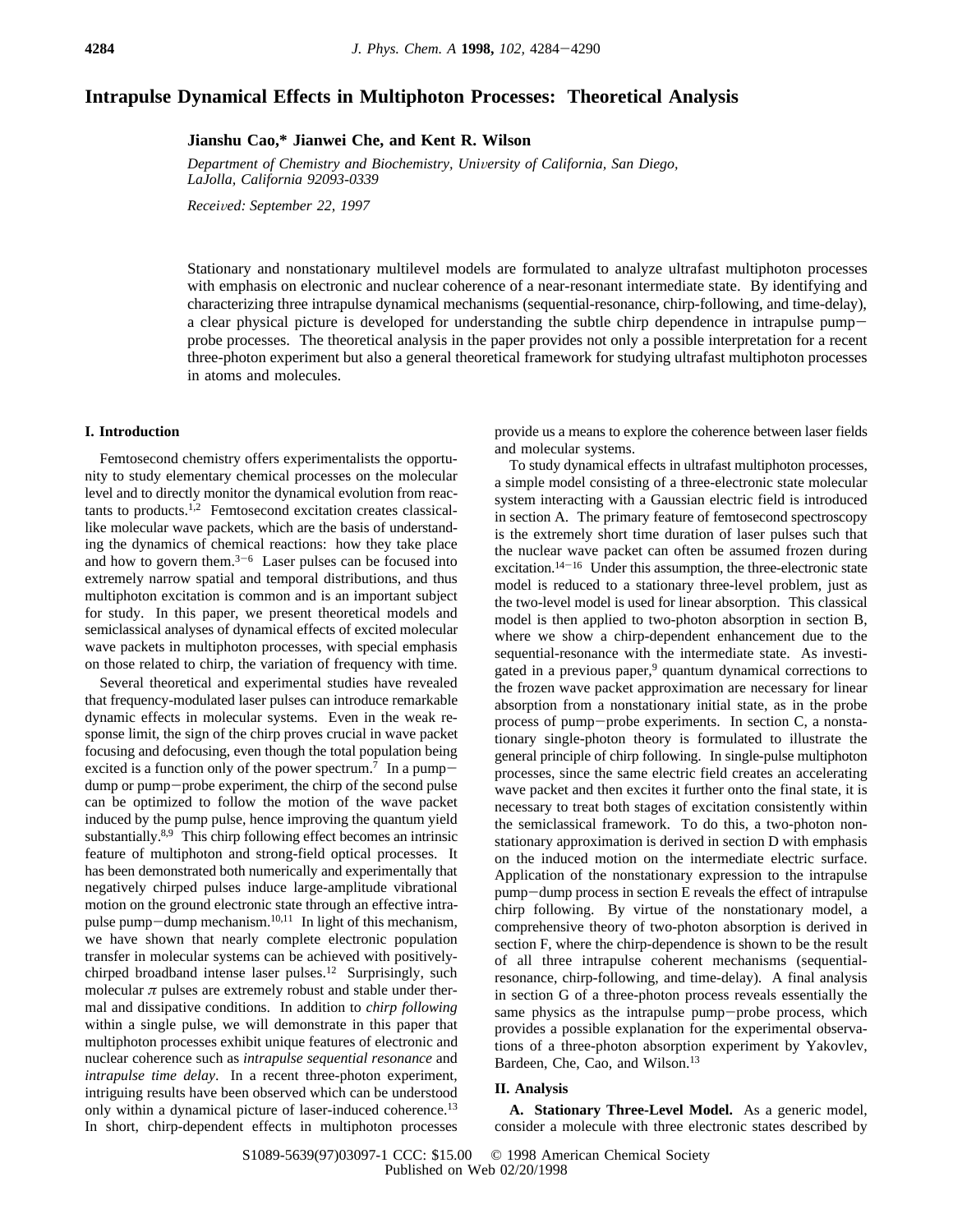# **Intrapulse Dynamical Effects in Multiphoton Processes: Theoretical Analysis**

**Jianshu Cao,\* Jianwei Che, and Kent R. Wilson**

*Department of Chemistry and Biochemistry, Uni*V*ersity of California, San Diego, LaJolla, California 92093-0339*

*Recei*V*ed: September 22, 1997*

Stationary and nonstationary multilevel models are formulated to analyze ultrafast multiphoton processes with emphasis on electronic and nuclear coherence of a near-resonant intermediate state. By identifying and characterizing three intrapulse dynamical mechanisms (sequential-resonance, chirp-following, and time-delay), a clear physical picture is developed for understanding the subtle chirp dependence in intrapulse pumpprobe processes. The theoretical analysis in the paper provides not only a possible interpretation for a recent three-photon experiment but also a general theoretical framework for studying ultrafast multiphoton processes in atoms and molecules.

# **I. Introduction**

Femtosecond chemistry offers experimentalists the opportunity to study elementary chemical processes on the molecular level and to directly monitor the dynamical evolution from reactants to products.1,2 Femtosecond excitation creates classicallike molecular wave packets, which are the basis of understanding the dynamics of chemical reactions: how they take place and how to govern them. $3-6$  Laser pulses can be focused into extremely narrow spatial and temporal distributions, and thus multiphoton excitation is common and is an important subject for study. In this paper, we present theoretical models and semiclassical analyses of dynamical effects of excited molecular wave packets in multiphoton processes, with special emphasis on those related to chirp, the variation of frequency with time.

Several theoretical and experimental studies have revealed that frequency-modulated laser pulses can introduce remarkable dynamic effects in molecular systems. Even in the weak response limit, the sign of the chirp proves crucial in wave packet focusing and defocusing, even though the total population being excited is a function only of the power spectrum.<sup>7</sup> In a pumpdump or pump-probe experiment, the chirp of the second pulse can be optimized to follow the motion of the wave packet induced by the pump pulse, hence improving the quantum yield substantially.<sup>8,9</sup> This chirp following effect becomes an intrinsic feature of multiphoton and strong-field optical processes. It has been demonstrated both numerically and experimentally that negatively chirped pulses induce large-amplitude vibrational motion on the ground electronic state through an effective intrapulse pump-dump mechanism.10,11 In light of this mechanism, we have shown that nearly complete electronic population transfer in molecular systems can be achieved with positivelychirped broadband intense laser pulses.<sup>12</sup> Surprisingly, such molecular  $\pi$  pulses are extremely robust and stable under thermal and dissipative conditions. In addition to *chirp following* within a single pulse, we will demonstrate in this paper that multiphoton processes exhibit unique features of electronic and nuclear coherence such as *intrapulse sequential resonance* and *intrapulse time delay*. In a recent three-photon experiment, intriguing results have been observed which can be understood only within a dynamical picture of laser-induced coherence.<sup>13</sup> In short, chirp-dependent effects in multiphoton processes

provide us a means to explore the coherence between laser fields and molecular systems.

To study dynamical effects in ultrafast multiphoton processes, a simple model consisting of a three-electronic state molecular system interacting with a Gaussian electric field is introduced in section A. The primary feature of femtosecond spectroscopy is the extremely short time duration of laser pulses such that the nuclear wave packet can often be assumed frozen during excitation.14-<sup>16</sup> Under this assumption, the three-electronic state model is reduced to a stationary three-level problem, just as the two-level model is used for linear absorption. This classical model is then applied to two-photon absorption in section B, where we show a chirp-dependent enhancement due to the sequential-resonance with the intermediate state. As investigated in a previous paper,<sup>9</sup> quantum dynamical corrections to the frozen wave packet approximation are necessary for linear absorption from a nonstationary initial state, as in the probe process of pump-probe experiments. In section C, a nonstationary single-photon theory is formulated to illustrate the general principle of chirp following. In single-pulse multiphoton processes, since the same electric field creates an accelerating wave packet and then excites it further onto the final state, it is necessary to treat both stages of excitation consistently within the semiclassical framework. To do this, a two-photon nonstationary approximation is derived in section D with emphasis on the induced motion on the intermediate electric surface. Application of the nonstationary expression to the intrapulse pump-dump process in section E reveals the effect of intrapulse chirp following. By virtue of the nonstationary model, a comprehensive theory of two-photon absorption is derived in section F, where the chirp-dependence is shown to be the result of all three intrapulse coherent mechanisms (sequentialresonance, chirp-following, and time-delay). A final analysis in section G of a three-photon process reveals essentially the same physics as the intrapulse pump-probe process, which provides a possible explanation for the experimental observations of a three-photon absorption experiment by Yakovlev, Bardeen, Che, Cao, and Wilson.<sup>13</sup>

# **II. Analysis**

**A. Stationary Three-Level Model.** As a generic model, consider a molecule with three electronic states described by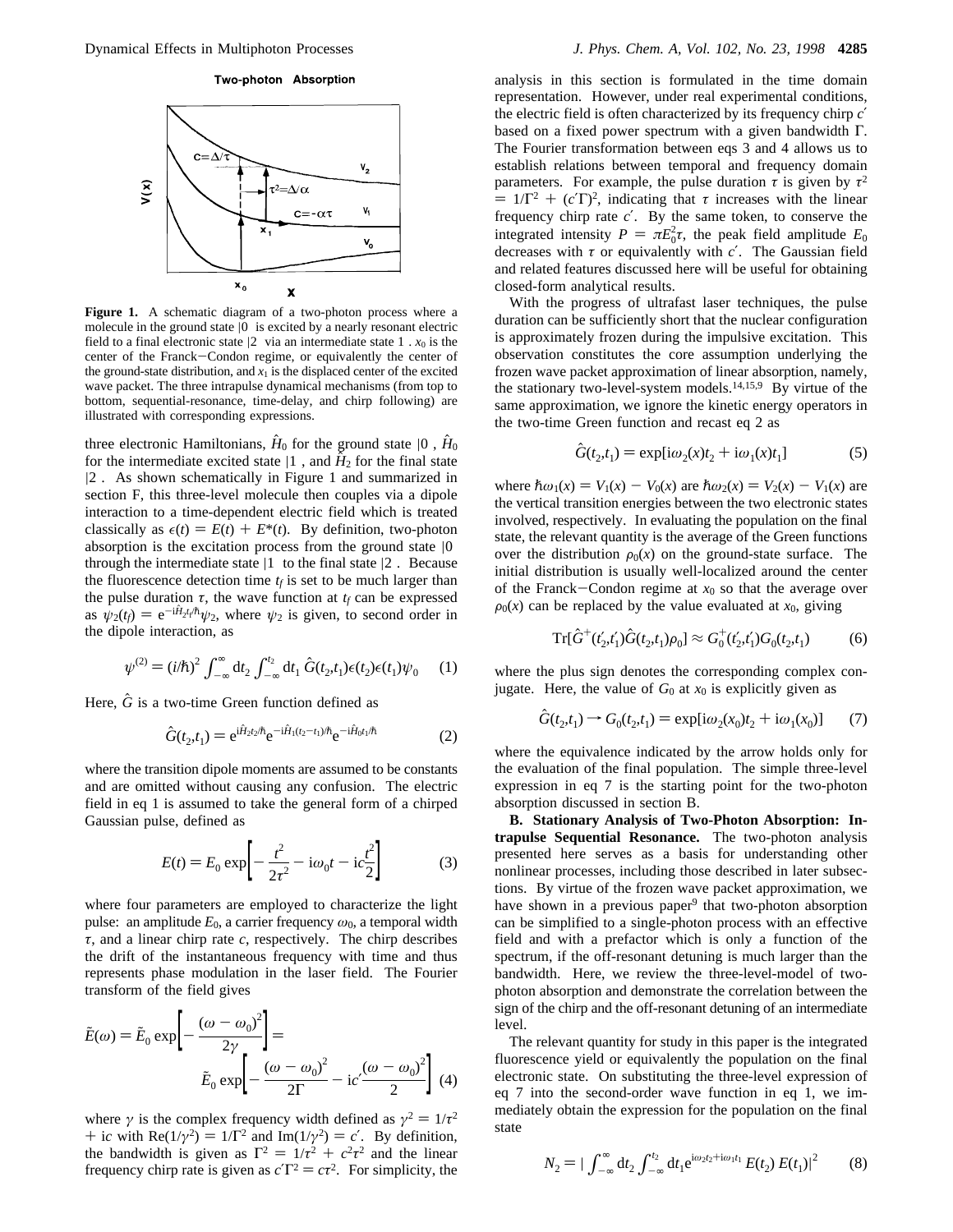#### Two-photon Absorption



**Figure 1.** A schematic diagram of a two-photon process where a molecule in the ground state  $|0\rangle$  is excited by a nearly resonant electric field to a final electronic state  $|2\rangle$  via an intermediate state 1).  $x_0$  is the center of the Franck-Condon regime, or equivalently the center of the ground-state distribution, and  $x_1$  is the displaced center of the excited wave packet. The three intrapulse dynamical mechanisms (from top to bottom, sequential-resonance, time-delay, and chirp following) are illustrated with corresponding expressions.

three electronic Hamiltonians,  $\hat{H}_0$  for the ground state  $|0\rangle$ ,  $\hat{H}_0$ for the intermediate excited state  $|1\rangle$ , and  $\hat{H}_2$  for the final state |2〉. As shown schematically in Figure 1 and summarized in section F, this three-level molecule then couples via a dipole interaction to a time-dependent electric field which is treated classically as  $\epsilon(t) = E(t) + E^*(t)$ . By definition, two-photon absorption is the excitation process from the ground state  $|0\rangle$ through the intermediate state  $|1\rangle$  to the final state  $|2\rangle$ . Because the fluorescence detection time  $t_f$  is set to be much larger than the pulse duration  $\tau$ , the wave function at  $t_f$  can be expressed as  $\psi_2(t_f) = e^{-i\hat{H}_2 t_f/\hbar} \psi_2$ , where  $\psi_2$  is given, to second order in the dinole interaction as the dipole interaction, as

$$
\psi^{(2)} = (i/\hbar)^2 \int_{-\infty}^{\infty} dt_2 \int_{-\infty}^{t_2} dt_1 \hat{G}(t_2, t_1) \epsilon(t_2) \epsilon(t_1) \psi_0 \qquad (1)
$$

Here,  $\hat{G}$  is a two-time Green function defined as

$$
\hat{G}(t_2, t_1) = e^{i\hat{H}_2 t_2/\hbar} e^{-i\hat{H}_1(t_2 - t_1)/\hbar} e^{-i\hat{H}_0 t_1/\hbar}
$$
(2)

where the transition dipole moments are assumed to be constants and are omitted without causing any confusion. The electric field in eq 1 is assumed to take the general form of a chirped Gaussian pulse, defined as

$$
E(t) = E_0 \exp\left[-\frac{t^2}{2\tau^2} - i\omega_0 t - i c \frac{t^2}{2}\right]
$$
 (3)

where four parameters are employed to characterize the light pulse: an amplitude  $E_0$ , a carrier frequency  $\omega_0$ , a temporal width *τ*, and a linear chirp rate *c*, respectively. The chirp describes the drift of the instantaneous frequency with time and thus represents phase modulation in the laser field. The Fourier transform of the field gives

$$
\tilde{E}(\omega) = \tilde{E}_0 \exp\left[-\frac{(\omega - \omega_0)^2}{2\gamma}\right] =
$$

$$
\tilde{E}_0 \exp\left[-\frac{(\omega - \omega_0)^2}{2\Gamma} - i c' \frac{(\omega - \omega_0)^2}{2}\right] (4)
$$

where  $\gamma$  is the complex frequency width defined as  $\gamma^2 = 1/\tau^2$ + i*c* with Re( $1/\gamma^2$ ) =  $1/\Gamma^2$  and Im( $1/\gamma^2$ ) = *c'*. By definition, the bandwidth is given as  $\Gamma^2 = 1/\tau^2 + c^2 \tau^2$  and the linear frequency chirp rate is given as  $cT^2 = c\tau^2$ . For simplicity, the

analysis in this section is formulated in the time domain representation. However, under real experimental conditions, the electric field is often characterized by its frequency chirp *c*′ based on a fixed power spectrum with a given bandwidth Γ. The Fourier transformation between eqs 3 and 4 allows us to establish relations between temporal and frequency domain parameters. For example, the pulse duration  $\tau$  is given by  $\tau^2$  $= 1/\Gamma^2 + (c'\Gamma)^2$ , indicating that  $\tau$  increases with the linear frequency chirp rate *c*′. By the same token, to conserve the integrated intensity  $P = \pi E_0^2 \tau$ , the peak field amplitude  $E_0$ <br>decreases with  $\tau$  or equivalently with  $c'$ . The Gaussian field decreases with *τ* or equivalently with *c*′. The Gaussian field and related features discussed here will be useful for obtaining closed-form analytical results.

With the progress of ultrafast laser techniques, the pulse duration can be sufficiently short that the nuclear configuration is approximately frozen during the impulsive excitation. This observation constitutes the core assumption underlying the frozen wave packet approximation of linear absorption, namely, the stationary two-level-system models.<sup>14,15,9</sup> By virtue of the same approximation, we ignore the kinetic energy operators in the two-time Green function and recast eq 2 as

$$
\hat{G}(t_2, t_1) = \exp[i\omega_2(x)t_2 + i\omega_1(x)t_1]
$$
 (5)

where  $\hbar \omega_1(x) = V_1(x) - V_0(x)$  are  $\hbar \omega_2(x) = V_2(x) - V_1(x)$  are the vertical transition energies between the two electronic states involved, respectively. In evaluating the population on the final state, the relevant quantity is the average of the Green functions over the distribution  $\rho_0(x)$  on the ground-state surface. The initial distribution is usually well-localized around the center of the Franck-Condon regime at  $x_0$  so that the average over  $\rho_0(x)$  can be replaced by the value evaluated at  $x_0$ , giving

$$
\operatorname{Tr}[\hat{G}^+(t'_2,t'_1)\hat{G}(t_2,t_1)\rho_0] \approx G_0^+(t'_2,t'_1)G_0(t_2,t_1) \tag{6}
$$

where the plus sign denotes the corresponding complex conjugate. Here, the value of  $G_0$  at  $x_0$  is explicitly given as

$$
\hat{G}(t_2, t_1) \to G_0(t_2, t_1) = \exp[i\omega_2(x_0)t_2 + i\omega_1(x_0)] \tag{7}
$$

where the equivalence indicated by the arrow holds only for the evaluation of the final population. The simple three-level expression in eq 7 is the starting point for the two-photon absorption discussed in section B.

**B. Stationary Analysis of Two-Photon Absorption: Intrapulse Sequential Resonance.** The two-photon analysis presented here serves as a basis for understanding other nonlinear processes, including those described in later subsections. By virtue of the frozen wave packet approximation, we have shown in a previous paper<sup>9</sup> that two-photon absorption can be simplified to a single-photon process with an effective field and with a prefactor which is only a function of the spectrum, if the off-resonant detuning is much larger than the bandwidth. Here, we review the three-level-model of twophoton absorption and demonstrate the correlation between the sign of the chirp and the off-resonant detuning of an intermediate level.

The relevant quantity for study in this paper is the integrated fluorescence yield or equivalently the population on the final electronic state. On substituting the three-level expression of eq 7 into the second-order wave function in eq 1, we immediately obtain the expression for the population on the final state

$$
N_2 = |\int_{-\infty}^{\infty} dt_2 \int_{-\infty}^{t_2} dt_1 e^{i\omega_2 t_2 + i\omega_1 t_1} E(t_2) E(t_1)|^2 \tag{8}
$$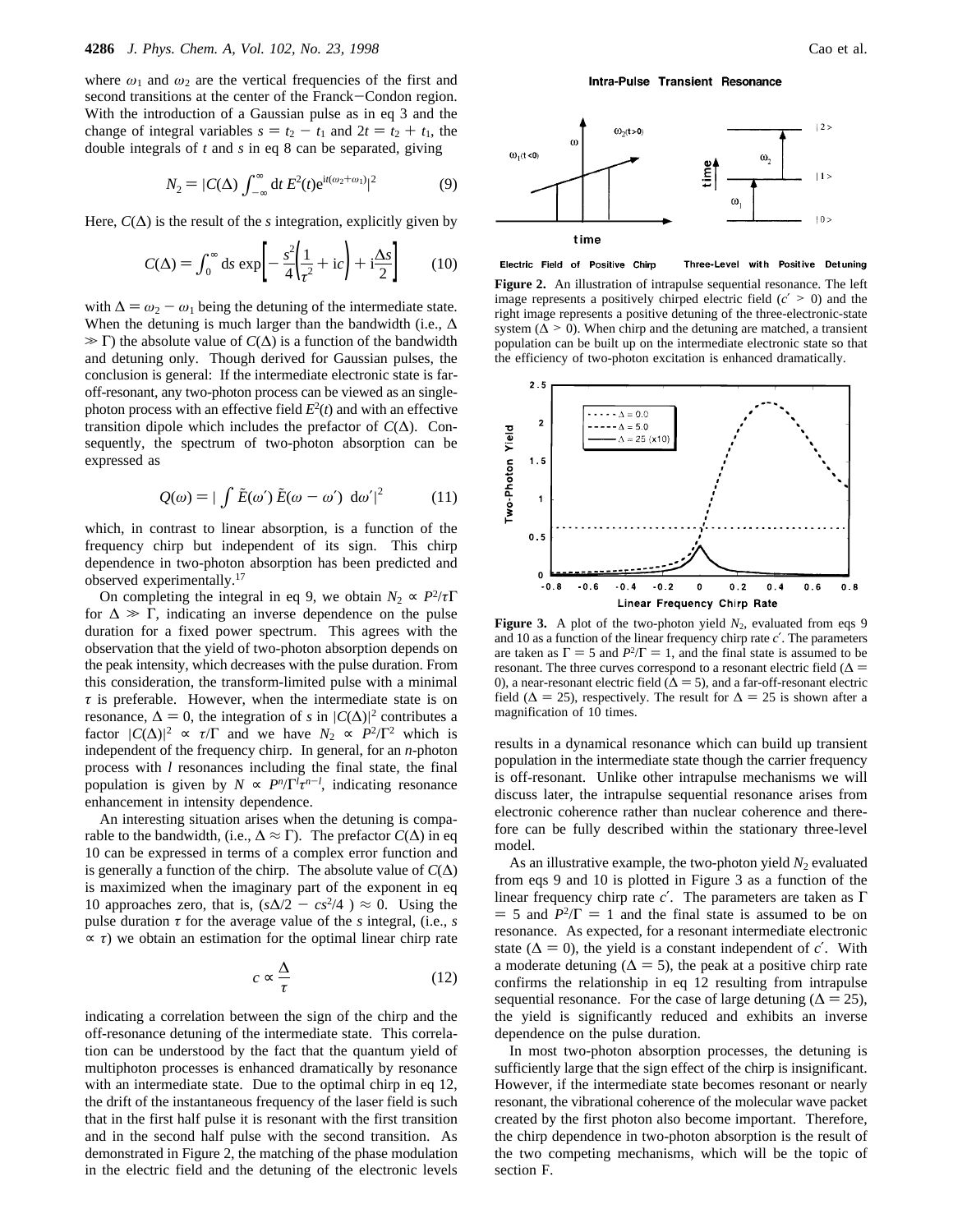where  $\omega_1$  and  $\omega_2$  are the vertical frequencies of the first and second transitions at the center of the Franck-Condon region. With the introduction of a Gaussian pulse as in eq 3 and the change of integral variables  $s = t_2 - t_1$  and  $2t = t_2 + t_1$ , the double integrals of *t* and *s* in eq 8 can be separated, giving

$$
N_2 = |C(\Delta) \int_{-\infty}^{\infty} dt \, E^2(t) e^{it(\omega_2 + \omega_1)}|^2 \tag{9}
$$

Here,  $C(\Delta)$  is the result of the *s* integration, explicitly given by

$$
C(\Delta) = \int_0^\infty ds \, \exp\left[ -\frac{s^2}{4} \left( \frac{1}{\tau^2} + ic \right) + i \frac{\Delta s}{2} \right] \tag{10}
$$

with  $\Delta = \omega_2 - \omega_1$  being the detuning of the intermediate state. When the detuning is much larger than the bandwidth (i.e.,  $\Delta$  $\gg \Gamma$ ) the absolute value of *C*( $\Delta$ ) is a function of the bandwidth and detuning only. Though derived for Gaussian pulses, the conclusion is general: If the intermediate electronic state is faroff-resonant, any two-photon process can be viewed as an singlephoton process with an effective field  $E^2(t)$  and with an effective transition dipole which includes the prefactor of *C*(∆). Consequently, the spectrum of two-photon absorption can be expressed as

$$
Q(\omega) = |\int \tilde{E}(\omega') \, \tilde{E}(\omega - \omega') \, d\omega'|^2 \tag{11}
$$

which, in contrast to linear absorption, is a function of the frequency chirp but independent of its sign. This chirp dependence in two-photon absorption has been predicted and observed experimentally.17

On completing the integral in eq 9, we obtain  $N_2 \propto P^2/\tau\Gamma$ for  $\Delta \gg \Gamma$ , indicating an inverse dependence on the pulse duration for a fixed power spectrum. This agrees with the observation that the yield of two-photon absorption depends on the peak intensity, which decreases with the pulse duration. From this consideration, the transform-limited pulse with a minimal *τ* is preferable. However, when the intermediate state is on resonance,  $\Delta = 0$ , the integration of *s* in  $|C(\Delta)|^2$  contributes a factor  $|C(\Delta)|^2 \propto \tau/\Gamma$  and we have  $N_2 \propto P^2/\Gamma^2$  which is factor  $|C(\Delta)|^2 \propto \tau/\Gamma$  and we have  $N_2 \propto P^2/\Gamma^2$  which is independent of the frequency chirp. In general, for an *n*-photon process with *l* resonances including the final state, the final population is given by  $N \propto P^n/\Gamma^l \tau^{n-l}$ , indicating resonance enhancement in intensity dependence.

An interesting situation arises when the detuning is comparable to the bandwidth, (i.e.,  $\Delta \approx \Gamma$ ). The prefactor  $C(\Delta)$  in eq 10 can be expressed in terms of a complex error function and is generally a function of the chirp. The absolute value of  $C(\Delta)$ is maximized when the imaginary part of the exponent in eq 10 approaches zero, that is,  $(s\Delta/2 - cs^2/4) \approx 0$ . Using the pulse duration  $\tau$  for the average value of the *s* integral, (i.e., *s*  $\propto \tau$ ) we obtain an estimation for the optimal linear chirp rate

$$
c \propto \frac{\Delta}{\tau} \tag{12}
$$

indicating a correlation between the sign of the chirp and the off-resonance detuning of the intermediate state. This correlation can be understood by the fact that the quantum yield of multiphoton processes is enhanced dramatically by resonance with an intermediate state. Due to the optimal chirp in eq 12, the drift of the instantaneous frequency of the laser field is such that in the first half pulse it is resonant with the first transition and in the second half pulse with the second transition. As demonstrated in Figure 2, the matching of the phase modulation in the electric field and the detuning of the electronic levels

Intra-Pulse Transient Resonance



Electric Field of Positive Chirp Three-Level with Positive Detuning

**Figure 2.** An illustration of intrapulse sequential resonance. The left image represents a positively chirped electric field  $(c' > 0)$  and the right image represents a positive detuning of the three-electronic-state system ( $\Delta > 0$ ). When chirp and the detuning are matched, a transient population can be built up on the intermediate electronic state so that the efficiency of two-photon excitation is enhanced dramatically.



**Figure 3.** A plot of the two-photon yield  $N_2$ , evaluated from eqs 9 and 10 as a function of the linear frequency chirp rate *c*′. The parameters are taken as  $\Gamma = 5$  and  $P^2/\Gamma = 1$ , and the final state is assumed to be resonant. The three curves correspond to a resonant electric field ( $\Delta$  = 0), a near-resonant electric field ( $\Delta = 5$ ), and a far-off-resonant electric field ( $\Delta = 25$ ), respectively. The result for  $\Delta = 25$  is shown after a magnification of 10 times.

results in a dynamical resonance which can build up transient population in the intermediate state though the carrier frequency is off-resonant. Unlike other intrapulse mechanisms we will discuss later, the intrapulse sequential resonance arises from electronic coherence rather than nuclear coherence and therefore can be fully described within the stationary three-level model.

As an illustrative example, the two-photon yield  $N_2$  evaluated from eqs 9 and 10 is plotted in Figure 3 as a function of the linear frequency chirp rate *c*′. The parameters are taken as Γ  $=$  5 and  $P^2/\Gamma = 1$  and the final state is assumed to be on resonance. As expected, for a resonant intermediate electronic state ( $\Delta = 0$ ), the yield is a constant independent of *c'*. With a moderate detuning ( $\Delta = 5$ ), the peak at a positive chirp rate confirms the relationship in eq 12 resulting from intrapulse sequential resonance. For the case of large detuning ( $\Delta = 25$ ), the yield is significantly reduced and exhibits an inverse dependence on the pulse duration.

In most two-photon absorption processes, the detuning is sufficiently large that the sign effect of the chirp is insignificant. However, if the intermediate state becomes resonant or nearly resonant, the vibrational coherence of the molecular wave packet created by the first photon also become important. Therefore, the chirp dependence in two-photon absorption is the result of the two competing mechanisms, which will be the topic of section F.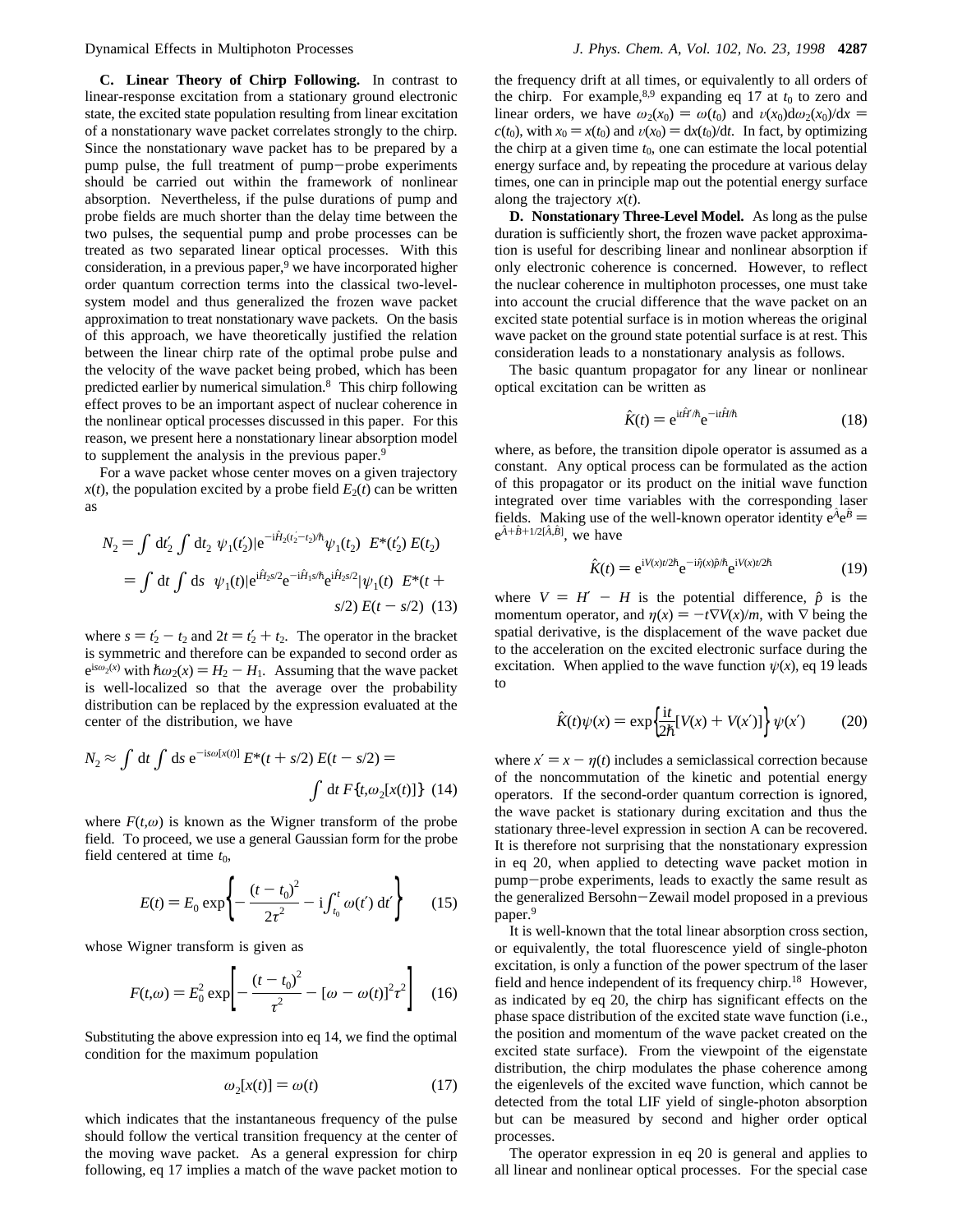**C. Linear Theory of Chirp Following.** In contrast to linear-response excitation from a stationary ground electronic state, the excited state population resulting from linear excitation of a nonstationary wave packet correlates strongly to the chirp. Since the nonstationary wave packet has to be prepared by a pump pulse, the full treatment of pump-probe experiments should be carried out within the framework of nonlinear absorption. Nevertheless, if the pulse durations of pump and probe fields are much shorter than the delay time between the two pulses, the sequential pump and probe processes can be treated as two separated linear optical processes. With this consideration, in a previous paper, $9$  we have incorporated higher order quantum correction terms into the classical two-levelsystem model and thus generalized the frozen wave packet approximation to treat nonstationary wave packets. On the basis of this approach, we have theoretically justified the relation between the linear chirp rate of the optimal probe pulse and the velocity of the wave packet being probed, which has been predicted earlier by numerical simulation.8 This chirp following effect proves to be an important aspect of nuclear coherence in the nonlinear optical processes discussed in this paper. For this reason, we present here a nonstationary linear absorption model to supplement the analysis in the previous paper.9

For a wave packet whose center moves on a given trajectory  $x(t)$ , the population excited by a probe field  $E_2(t)$  can be written as

$$
N_2 = \int dt'_2 \int dt_2 \langle \psi_1(t'_2) | e^{-i\hat{H}_2(t'_2 - t_2)\hbar} \psi_1(t_2) \rangle E^*(t'_2) E(t_2)
$$
  
= 
$$
\int dt \int ds \langle \psi_1(t) | e^{i\hat{H}_2 s/2} e^{-i\hat{H}_1 s/\hbar} e^{i\hat{H}_2 s/2} | \psi_1(t) \rangle E^*(t + s/2) (13)
$$

where  $s = t'_2 - t_2$  and  $2t = t'_2 + t_2$ . The operator in the bracket is symmetric and therefore can be expanded to second order as  $e^{is\omega_2(x)}$  with  $\hbar\omega_2(x) = H_2 - H_1$ . Assuming that the wave packet is well-localized so that the average over the probability distribution can be replaced by the expression evaluated at the center of the distribution, we have

$$
N_2 \approx \int \mathrm{d}t \int \mathrm{d}s \, \mathrm{e}^{-\mathrm{i}s\omega[x(t)]} E^*(t+s/2) E(t-s/2) =
$$

$$
\int \mathrm{d}t F\{t, \omega_2[x(t)]\} (14)
$$

where  $F(t, \omega)$  is known as the Wigner transform of the probe field. To proceed, we use a general Gaussian form for the probe field centered at time *t*0,

$$
E(t) = E_0 \exp\left\{-\frac{(t - t_0)^2}{2\tau^2} - i \int_{t_0}^t \omega(t') dt'\right\}
$$
 (15)

whose Wigner transform is given as

$$
F(t,\omega) = E_0^2 \exp\left[-\frac{(t - t_0)^2}{\tau^2} - [\omega - \omega(t)]^2 \tau^2\right] \quad (16)
$$

Substituting the above expression into eq 14, we find the optimal condition for the maximum population

$$
\omega_2[x(t)] = \omega(t) \tag{17}
$$

which indicates that the instantaneous frequency of the pulse should follow the vertical transition frequency at the center of the moving wave packet. As a general expression for chirp following, eq 17 implies a match of the wave packet motion to the frequency drift at all times, or equivalently to all orders of the chirp. For example,<sup>8,9</sup> expanding eq 17 at  $t_0$  to zero and linear orders, we have  $\omega_2(x_0) = \omega(t_0)$  and  $\nu(x_0) d\omega_2(x_0)/dx =$  $c(t_0)$ , with  $x_0 = x(t_0)$  and  $v(x_0) = dx(t_0)/dt$ . In fact, by optimizing the chirp at a given time  $t_0$ , one can estimate the local potential energy surface and, by repeating the procedure at various delay times, one can in principle map out the potential energy surface along the trajectory *x*(*t*).

**D. Nonstationary Three-Level Model.** As long as the pulse duration is sufficiently short, the frozen wave packet approximation is useful for describing linear and nonlinear absorption if only electronic coherence is concerned. However, to reflect the nuclear coherence in multiphoton processes, one must take into account the crucial difference that the wave packet on an excited state potential surface is in motion whereas the original wave packet on the ground state potential surface is at rest. This consideration leads to a nonstationary analysis as follows.

The basic quantum propagator for any linear or nonlinear optical excitation can be written as

$$
\hat{K}(t) = e^{i t \hat{H}'/\hbar} e^{-i t \hat{H}/\hbar}
$$
\n(18)

where, as before, the transition dipole operator is assumed as a constant. Any optical process can be formulated as the action of this propagator or its product on the initial wave function integrated over time variables with the corresponding laser fields. Making use of the well-known operator identity  $e^A e^B =$  $e^{\hat{A} + \hat{B} + 1/2[\hat{A}, \hat{B}]}$ , we have

$$
\hat{K}(t) = e^{iV(x)t/2\hbar} e^{-i\hat{\eta}(x)\hat{p}/\hbar} e^{iV(x)t/2\hbar}
$$
\n(19)

where  $V = H' - H$  is the potential difference,  $\hat{p}$  is the momentum operator, and  $\eta(x) = -t \nabla V(x)/m$ , with  $\nabla$  being the spatial derivative, is the displacement of the wave packet due to the acceleration on the excited electronic surface during the excitation. When applied to the wave function  $\psi(x)$ , eq 19 leads to

$$
\hat{K}(t)\psi(x) = \exp\left\{\frac{\mathrm{i}t}{2\hbar}[V(x) + V(x')] \right\}\psi(x') \tag{20}
$$

where  $x' = x - \eta(t)$  includes a semiclassical correction because of the noncommutation of the kinetic and potential energy operators. If the second-order quantum correction is ignored, the wave packet is stationary during excitation and thus the stationary three-level expression in section A can be recovered. It is therefore not surprising that the nonstationary expression in eq 20, when applied to detecting wave packet motion in pump-probe experiments, leads to exactly the same result as the generalized Bersohn-Zewail model proposed in a previous paper.9

It is well-known that the total linear absorption cross section, or equivalently, the total fluorescence yield of single-photon excitation, is only a function of the power spectrum of the laser field and hence independent of its frequency chirp.18 However, as indicated by eq 20, the chirp has significant effects on the phase space distribution of the excited state wave function (i.e., the position and momentum of the wave packet created on the excited state surface). From the viewpoint of the eigenstate distribution, the chirp modulates the phase coherence among the eigenlevels of the excited wave function, which cannot be detected from the total LIF yield of single-photon absorption but can be measured by second and higher order optical processes.

The operator expression in eq 20 is general and applies to all linear and nonlinear optical processes. For the special case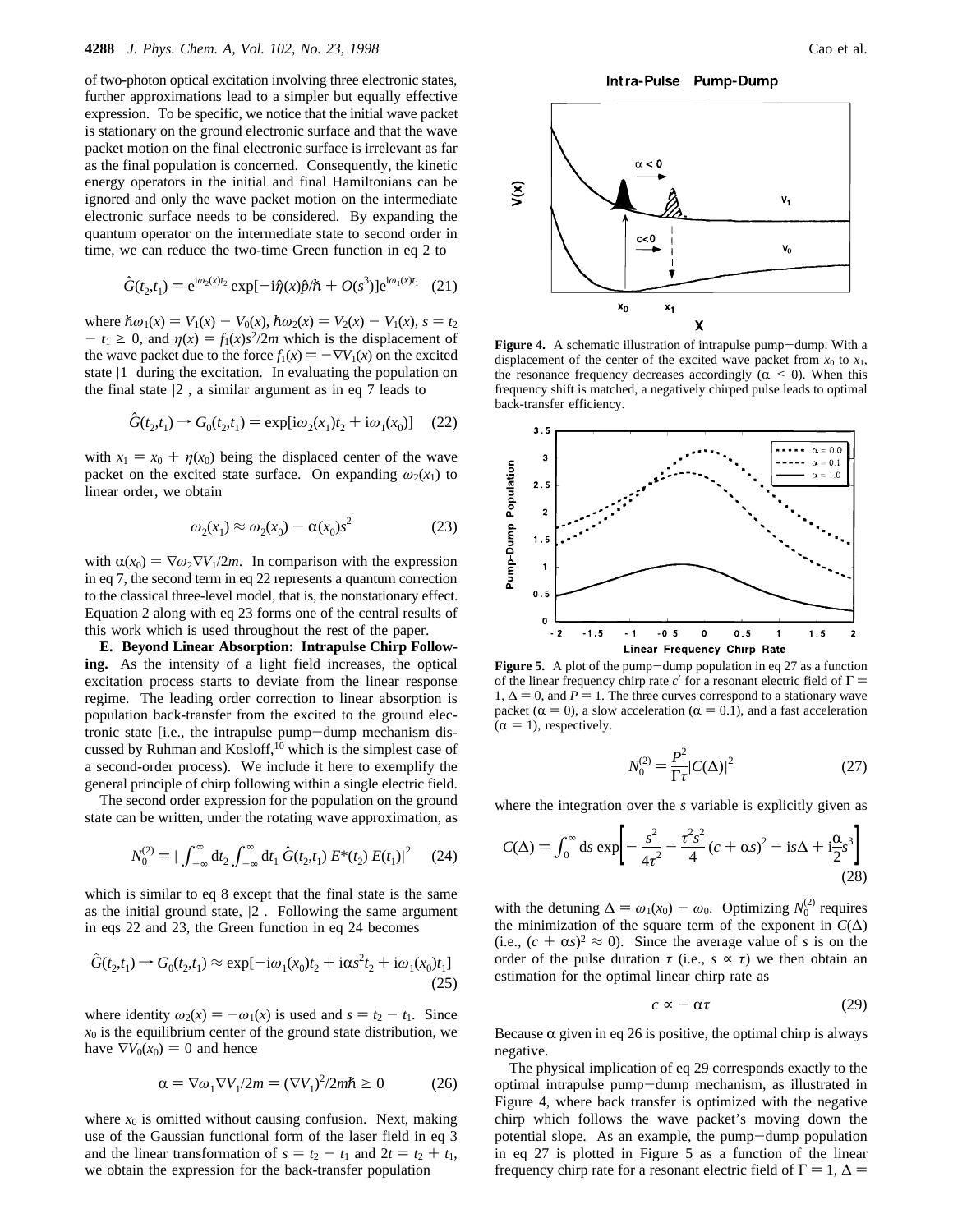of two-photon optical excitation involving three electronic states, further approximations lead to a simpler but equally effective expression. To be specific, we notice that the initial wave packet is stationary on the ground electronic surface and that the wave packet motion on the final electronic surface is irrelevant as far as the final population is concerned. Consequently, the kinetic energy operators in the initial and final Hamiltonians can be ignored and only the wave packet motion on the intermediate electronic surface needs to be considered. By expanding the quantum operator on the intermediate state to second order in time, we can reduce the two-time Green function in eq 2 to

$$
\hat{G}(t_2, t_1) = e^{i\omega_2(x)t_2} \exp[-i\hat{\eta}(x)\hat{p}/\hbar + O(s^3)]e^{i\omega_1(x)t_1} \quad (21)
$$

where  $\hbar \omega_1(x) = V_1(x) - V_0(x), \hbar \omega_2(x) = V_2(x) - V_1(x), s = t_2$  $- t_1 \geq 0$ , and  $\eta(x) = f_1(x)s^2/2m$  which is the displacement of the wave packet due to the force  $f_1(x) = -\nabla V_1(x)$  on the excited state  $|1\rangle$  during the excitation. In evaluating the population on the final state  $|2\rangle$ , a similar argument as in eq 7 leads to

$$
\hat{G}(t_2, t_1) \to G_0(t_2, t_1) = \exp[i\omega_2(x_1)t_2 + i\omega_1(x_0)] \quad (22)
$$

with  $x_1 = x_0 + \eta(x_0)$  being the displaced center of the wave packet on the excited state surface. On expanding  $\omega_2(x_1)$  to linear order, we obtain

$$
\omega_2(x_1) \approx \omega_2(x_0) - \alpha(x_0)s^2 \tag{23}
$$

with  $\alpha(x_0) = \nabla \omega_2 \nabla V_1/2m$ . In comparison with the expression in eq 7, the second term in eq 22 represents a quantum correction to the classical three-level model, that is, the nonstationary effect. Equation 2 along with eq 23 forms one of the central results of this work which is used throughout the rest of the paper.

**E. Beyond Linear Absorption: Intrapulse Chirp Following.** As the intensity of a light field increases, the optical excitation process starts to deviate from the linear response regime. The leading order correction to linear absorption is population back-transfer from the excited to the ground electronic state [i.e., the intrapulse pump-dump mechanism discussed by Ruhman and Kosloff,<sup>10</sup> which is the simplest case of a second-order process). We include it here to exemplify the general principle of chirp following within a single electric field.

The second order expression for the population on the ground state can be written, under the rotating wave approximation, as

$$
N_0^{(2)} = |\int_{-\infty}^{\infty} dt_2 \int_{-\infty}^{\infty} dt_1 \hat{G}(t_2, t_1) E^*(t_2) E(t_1)|^2 \qquad (24)
$$

which is similar to eq 8 except that the final state is the same as the initial ground state,  $|2\rangle$ . Following the same argument in eqs 22 and 23, the Green function in eq 24 becomes

$$
\hat{G}(t_2, t_1) \to G_0(t_2, t_1) \approx \exp[-i\omega_1(x_0)t_2 + i\alpha s^2 t_2 + i\omega_1(x_0)t_1]
$$
\n(25)

where identity  $\omega_2(x) = -\omega_1(x)$  is used and  $s = t_2 - t_1$ . Since  $x_0$  is the equilibrium center of the ground state distribution, we have  $\nabla V_0(x_0) = 0$  and hence

$$
\alpha = \nabla \omega_1 \nabla V_1 / 2m = (\nabla V_1)^2 / 2m\hbar \ge 0 \tag{26}
$$

where  $x_0$  is omitted without causing confusion. Next, making use of the Gaussian functional form of the laser field in eq 3 and the linear transformation of  $s = t_2 - t_1$  and  $2t = t_2 + t_1$ , we obtain the expression for the back-transfer population

Intra-Pulse Pump-Dump



**Figure 4.** A schematic illustration of intrapulse pump-dump. With a displacement of the center of the excited wave packet from  $x_0$  to  $x_1$ , the resonance frequency decreases accordingly ( $\alpha$  < 0). When this frequency shift is matched, a negatively chirped pulse leads to optimal back-transfer efficiency.



**Figure 5.** A plot of the pump-dump population in eq 27 as a function of the linear frequency chirp rate  $c'$  for a resonant electric field of  $\Gamma =$ 1,  $\Delta = 0$ , and *P* = 1. The three curves correspond to a stationary wave packet ( $\alpha = 0$ ), a slow acceleration ( $\alpha = 0.1$ ), and a fast acceleration  $(\alpha = 1)$ , respectively.

$$
N_0^{(2)} = \frac{P^2}{\Gamma \tau} |C(\Delta)|^2
$$
 (27)

where the integration over the *s* variable is explicitly given as

$$
C(\Delta) = \int_0^\infty ds \exp\left[ -\frac{s^2}{4\tau^2} - \frac{\tau^2 s^2}{4} (c + \alpha s)^2 - is\Delta + i\frac{\alpha}{2} s^3 \right]
$$
(28)

with the detuning  $\Delta = \omega_1(x_0) - \omega_0$ . Optimizing  $N_0^{(2)}$  requires<br>the minimization of the square term of the exponent in  $C(\Delta)$ the minimization of the square term of the exponent in  $C(\Delta)$ (i.e.,  $(c + \alpha s)^2 \approx 0$ ). Since the average value of *s* is on the order of the pulse duration  $\tau$  (i.e.,  $s \propto \tau$ ) we then obtain an estimation for the optimal linear chirp rate as

$$
c \approx -\alpha \tau \tag{29}
$$

Because  $\alpha$  given in eq 26 is positive, the optimal chirp is always negative.

The physical implication of eq 29 corresponds exactly to the optimal intrapulse pump-dump mechanism, as illustrated in Figure 4, where back transfer is optimized with the negative chirp which follows the wave packet's moving down the potential slope. As an example, the pump-dump population in eq 27 is plotted in Figure 5 as a function of the linear frequency chirp rate for a resonant electric field of  $\Gamma = 1, \Delta =$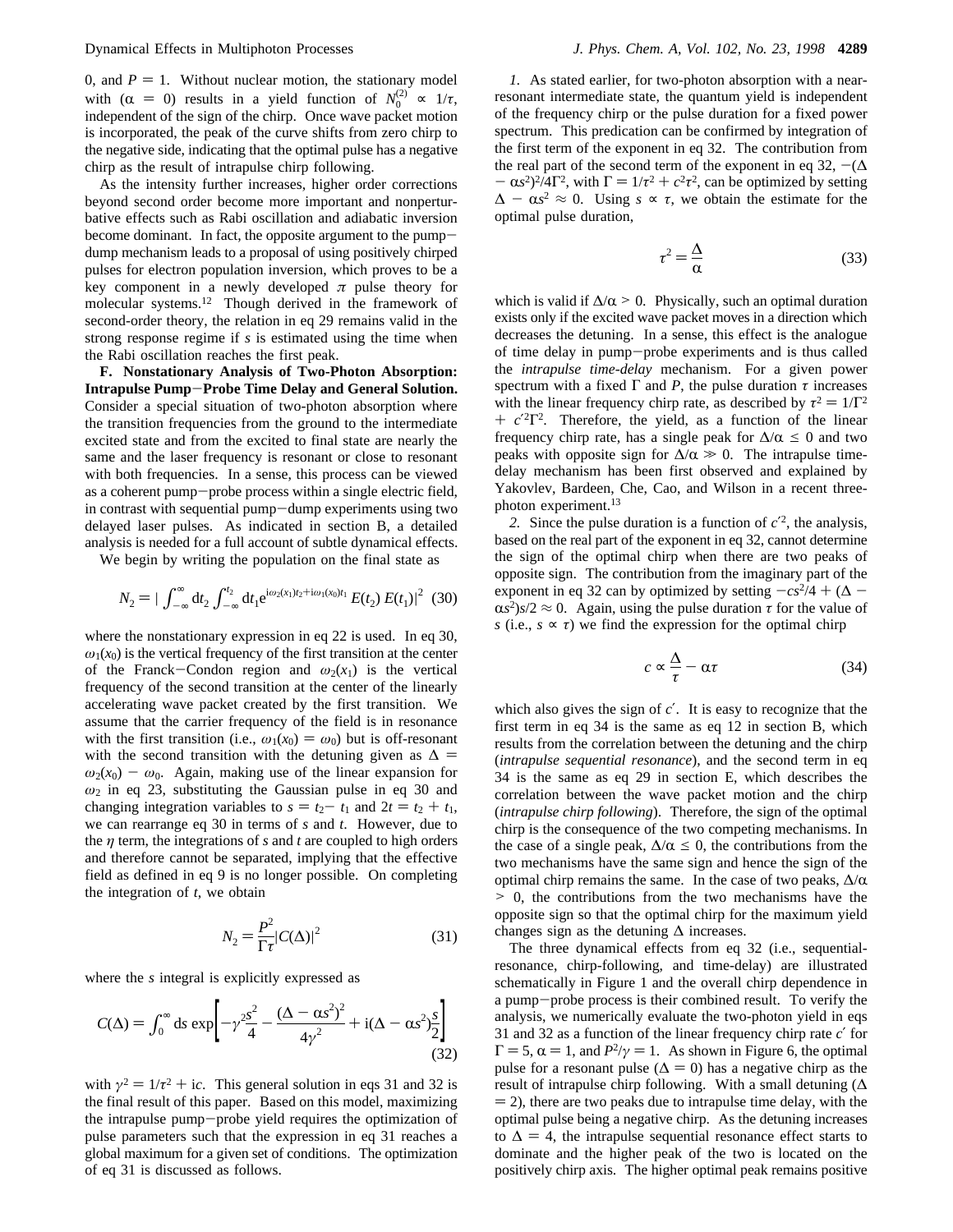0, and  $P = 1$ . Without nuclear motion, the stationary model with  $(\alpha = 0)$  results in a yield function of  $N_0^{(2)} \propto 1/\tau$ ,<br>independent of the sign of the chirp. Once wave packet motion independent of the sign of the chirp. Once wave packet motion is incorporated, the peak of the curve shifts from zero chirp to the negative side, indicating that the optimal pulse has a negative chirp as the result of intrapulse chirp following.

As the intensity further increases, higher order corrections beyond second order become more important and nonperturbative effects such as Rabi oscillation and adiabatic inversion become dominant. In fact, the opposite argument to the pumpdump mechanism leads to a proposal of using positively chirped pulses for electron population inversion, which proves to be a key component in a newly developed  $\pi$  pulse theory for molecular systems.12 Though derived in the framework of second-order theory, the relation in eq 29 remains valid in the strong response regime if *s* is estimated using the time when the Rabi oscillation reaches the first peak.

**F. Nonstationary Analysis of Two-Photon Absorption: Intrapulse Pump**-**Probe Time Delay and General Solution.** Consider a special situation of two-photon absorption where the transition frequencies from the ground to the intermediate excited state and from the excited to final state are nearly the same and the laser frequency is resonant or close to resonant with both frequencies. In a sense, this process can be viewed as a coherent pump-probe process within a single electric field, in contrast with sequential pump-dump experiments using two delayed laser pulses. As indicated in section B, a detailed analysis is needed for a full account of subtle dynamical effects.

We begin by writing the population on the final state as

$$
N_2 = |\int_{-\infty}^{\infty} dt_2 \int_{-\infty}^{t_2} dt_1 e^{i\omega_2(x_1)t_2 + i\omega_1(x_0)t_1} E(t_2) E(t_1)|^2
$$
 (30)

where the nonstationary expression in eq 22 is used. In eq 30,  $\omega_1(x_0)$  is the vertical frequency of the first transition at the center of the Franck-Condon region and  $\omega_2(x_1)$  is the vertical frequency of the second transition at the center of the linearly accelerating wave packet created by the first transition. We assume that the carrier frequency of the field is in resonance with the first transition (i.e.,  $\omega_1(x_0) = \omega_0$ ) but is off-resonant with the second transition with the detuning given as  $\Delta$  =  $\omega_2(x_0) - \omega_0$ . Again, making use of the linear expansion for *ω*<sup>2</sup> in eq 23, substituting the Gaussian pulse in eq 30 and changing integration variables to  $s = t_2 - t_1$  and  $2t = t_2 + t_1$ , we can rearrange eq 30 in terms of *s* and *t*. However, due to the *η* term, the integrations of *s* and *t* are coupled to high orders and therefore cannot be separated, implying that the effective field as defined in eq 9 is no longer possible. On completing the integration of *t*, we obtain

$$
N_2 = \frac{P^2}{\Gamma \tau} |C(\Delta)|^2 \tag{31}
$$

where the *s* integral is explicitly expressed as

$$
C(\Delta) = \int_0^\infty ds \, \exp\biggl[ -\gamma^2 \frac{s^2}{4} - \frac{(\Delta - \alpha s^2)^2}{4\gamma^2} + i(\Delta - \alpha s^2) \frac{s}{2} \biggr] \tag{32}
$$

with  $\gamma^2 = 1/\tau^2 + i\epsilon$ . This general solution in eqs 31 and 32 is the final result of this paper. Based on this model, maximizing the intrapulse pump-probe yield requires the optimization of pulse parameters such that the expression in eq 31 reaches a global maximum for a given set of conditions. The optimization of eq 31 is discussed as follows.

*1.* As stated earlier, for two-photon absorption with a nearresonant intermediate state, the quantum yield is independent of the frequency chirp or the pulse duration for a fixed power spectrum. This predication can be confirmed by integration of the first term of the exponent in eq 32. The contribution from the real part of the second term of the exponent in eq 32,  $-(\Delta)$  $-\alpha s^2$ <sup>2</sup>/4Γ<sup>2</sup>, with  $\Gamma = 1/\tau^2 + c^2 \tau^2$ , can be optimized by setting  $\Delta - \alpha s^2 \approx 0$ . Using  $s \propto \tau$ , we obtain the estimate for the optimal pulse duration,

$$
\tau^2 = \frac{\Delta}{\alpha} \tag{33}
$$

which is valid if  $\Delta/\alpha > 0$ . Physically, such an optimal duration exists only if the excited wave packet moves in a direction which decreases the detuning. In a sense, this effect is the analogue of time delay in pump-probe experiments and is thus called the *intrapulse time-delay* mechanism. For a given power spectrum with a fixed  $\Gamma$  and *P*, the pulse duration  $\tau$  increases with the linear frequency chirp rate, as described by  $\tau^2 = 1/\Gamma^2$ +  $c^2T^2$ . Therefore, the yield, as a function of the linear<br>frequency chirp rate, has a single peak for  $\Delta/\alpha$  < 0 and two frequency chirp rate, has a single peak for  $\Delta/\alpha \le 0$  and two peaks with opposite sign for  $\Delta/\alpha \gg 0$ . The intrapulse timedelay mechanism has been first observed and explained by Yakovlev, Bardeen, Che, Cao, and Wilson in a recent threephoton experiment.13

2. Since the pulse duration is a function of  $c^2$ , the analysis, based on the real part of the exponent in eq 32, cannot determine the sign of the optimal chirp when there are two peaks of opposite sign. The contribution from the imaginary part of the exponent in eq 32 can by optimized by setting  $-cs^2/4 + (\Delta (\alpha s^2)s/2 \approx 0$ . Again, using the pulse duration  $\tau$  for the value of *s* (i.e.,  $s \propto \tau$ ) we find the expression for the optimal chirp

$$
c \propto \frac{\Delta}{\tau} - \alpha \tau \tag{34}
$$

which also gives the sign of *c*′. It is easy to recognize that the first term in eq 34 is the same as eq 12 in section B, which results from the correlation between the detuning and the chirp (*intrapulse sequential resonance*), and the second term in eq 34 is the same as eq 29 in section E, which describes the correlation between the wave packet motion and the chirp (*intrapulse chirp following*). Therefore, the sign of the optimal chirp is the consequence of the two competing mechanisms. In the case of a single peak,  $\Delta/\alpha \leq 0$ , the contributions from the two mechanisms have the same sign and hence the sign of the optimal chirp remains the same. In the case of two peaks,  $\Delta/\alpha$ > 0, the contributions from the two mechanisms have the opposite sign so that the optimal chirp for the maximum yield changes sign as the detuning  $\Delta$  increases.

The three dynamical effects from eq 32 (i.e., sequentialresonance, chirp-following, and time-delay) are illustrated schematically in Figure 1 and the overall chirp dependence in a pump-probe process is their combined result. To verify the analysis, we numerically evaluate the two-photon yield in eqs 31 and 32 as a function of the linear frequency chirp rate *c*′ for  $\Gamma = 5$ ,  $\alpha = 1$ , and  $P^2/\gamma = 1$ . As shown in Figure 6, the optimal pulse for a resonant pulse ( $\Delta = 0$ ) has a negative chirp as the result of intrapulse chirp following. With a small detuning (∆  $=$  2), there are two peaks due to intrapulse time delay, with the optimal pulse being a negative chirp. As the detuning increases to  $\Delta = 4$ , the intrapulse sequential resonance effect starts to dominate and the higher peak of the two is located on the positively chirp axis. The higher optimal peak remains positive